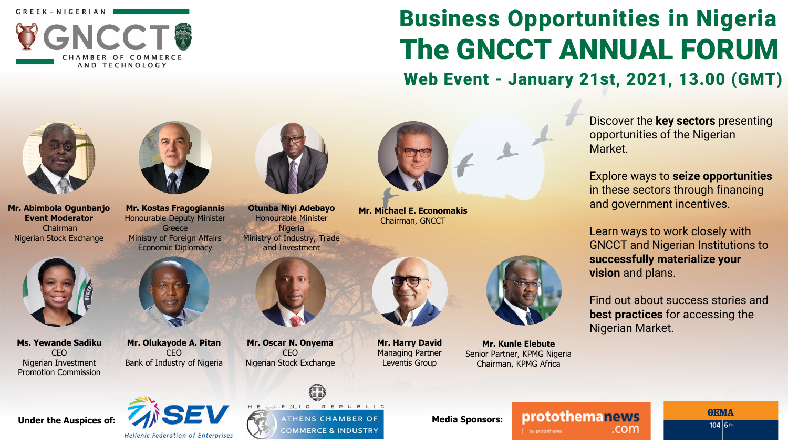

# Business Opportunities in Nigeria The GNCCT ANNUAL FORUM

Web Event - January 21st, 2021, 13.00 (GMT)



**Mr. Abimbola Ogunbanjo Event Moderator** Chairman Nigerian Stock Exchange



**Ms. Yewande Sadiku** CEO Nigerian Investment Promotion Commission



**Mr. Kostas Fragogiannis** Honourable Deputy Minister **Greece** Ministry of Foreign Affairs Economic Diplomacy



**Mr. Olukayode A. Pitan** CEO Bank of Industry of Nigeria



**Otunba Niyi Adebayo** Honourable Minister **Nigeria** Ministry of Industry, Trade and Investment



**Mr. Oscar N. Onyema** CEO Nigerian Stock Exchange



**Mr. Harry David** Managing Partner Leventis Group

**Mr. Michael E. Economakis** Chairman, GNCCT



**Mr. Kunle Elebute** Senior Partner, KPMG Nigeria Chairman, KPMG Africa

Discover the **key sectors** presenting opportunities of the Nigerian Market.

Explore ways to **seize opportunities**  in these sectors through financing and government incentives.

Learn ways to work closely with GNCCT and Nigerian Institutions to **successfully materialize your vision** and plans.

Find out about success stories and **best practices** for accessing the Nigerian Market.



HELLENIO REPUBLIC Under the Auspices of: **MEDITY MEDITY MEDITY** COMMERCE & INDUSTRY **Media Sponsors:** 

protothemanews by protothema

.com

**OEMA**  $104|6m$